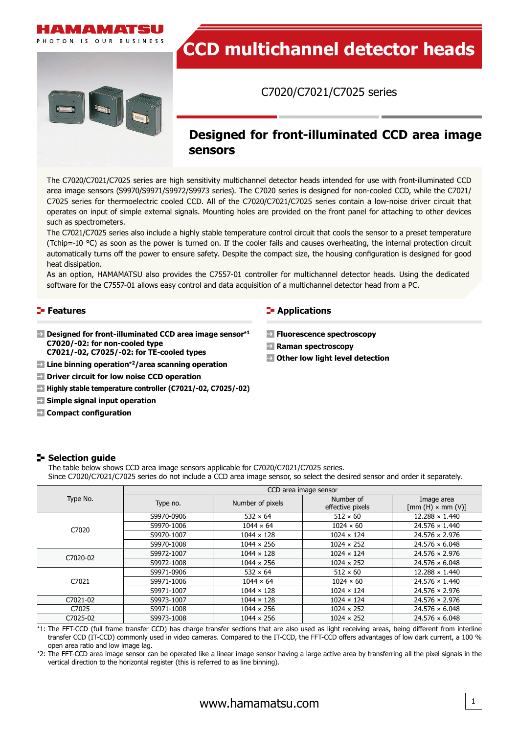

# **CCD multichannel detector heads**

C7020/C7021/C7025 series

# **Designed for front-illuminated CCD area image sensors**

The C7020/C7021/C7025 series are high sensitivity multichannel detector heads intended for use with front-illuminated CCD area image sensors (S9970/S9971/S9972/S9973 series). The C7020 series is designed for non-cooled CCD, while the C7021/ C7025 series for thermoelectric cooled CCD. All of the C7020/C7021/C7025 series contain a low-noise driver circuit that operates on input of simple external signals. Mounting holes are provided on the front panel for attaching to other devices such as spectrometers.

The C7021/C7025 series also include a highly stable temperature control circuit that cools the sensor to a preset temperature (Tchip=-10 °C) as soon as the power is turned on. If the cooler fails and causes overheating, the internal protection circuit automatically turns off the power to ensure safety. Despite the compact size, the housing configuration is designed for good heat dissipation.

As an option, HAMAMATSU also provides the C7557-01 controller for multichannel detector heads. Using the dedicated software for the C7557-01 allows easy control and data acquisition of a multichannel detector head from a PC.

#### **Features**

- **Designed for front-illuminated CCD area image sensor\*<sup>1</sup> C7020/-02: for non-cooled type**
	- **C7021/-02, C7025/-02: for TE-cooled types**
- **Line binning operation\*2/area scanning operation**
- **Driver circuit for low noise CCD operation**
- **Highly stable temperature controller (C7021/-02, C7025/-02)**
- **Simple signal input operation**
- **Compact configuration**

#### **F** Applications

- **Fluorescence spectroscopy**
- **Raman spectroscopy**
- **Other low light level detection**

#### **Selection guide**

The table below shows CCD area image sensors applicable for C7020/C7021/C7025 series. Since C7020/C7021/C7025 series do not include a CCD area image sensor, so select the desired sensor and order it separately.

|          | CCD area image sensor |                   |                               |                                                                |  |  |  |
|----------|-----------------------|-------------------|-------------------------------|----------------------------------------------------------------|--|--|--|
| Type No. | Type no.              | Number of pixels  | Number of<br>effective pixels | Image area<br>$\lceil \text{mm}(H) \times \text{mm}(V) \rceil$ |  |  |  |
|          | S9970-0906            | $532 \times 64$   | $512 \times 60$               | $12.288 \times 1.440$                                          |  |  |  |
| C7020    | S9970-1006            | $1044 \times 64$  | $1024 \times 60$              | $24.576 \times 1.440$                                          |  |  |  |
|          | S9970-1007            | $1044 \times 128$ | $1024 \times 124$             | $24.576 \times 2.976$                                          |  |  |  |
|          | S9970-1008            | $1044 \times 256$ | $1024 \times 252$             | $24.576 \times 6.048$                                          |  |  |  |
| C7020-02 | S9972-1007            | $1044 \times 128$ | $1024 \times 124$             | $24.576 \times 2.976$                                          |  |  |  |
|          | S9972-1008            | $1044 \times 256$ | $1024 \times 252$             | $24.576 \times 6.048$                                          |  |  |  |
|          | S9971-0906            | $532 \times 64$   | $512 \times 60$               | $12.288 \times 1.440$                                          |  |  |  |
| C7021    | S9971-1006            | $1044 \times 64$  | $1024 \times 60$              | $24.576 \times 1.440$                                          |  |  |  |
|          | S9971-1007            | $1044 \times 128$ | $1024 \times 124$             | $24.576 \times 2.976$                                          |  |  |  |
| C7021-02 | S9973-1007            | $1044 \times 128$ | $1024 \times 124$             | $24.576 \times 2.976$                                          |  |  |  |
| C7025    | S9971-1008            | $1044 \times 256$ | $1024 \times 252$             | $24.576 \times 6.048$                                          |  |  |  |
| C7025-02 | S9973-1008            | $1044 \times 256$ | $1024 \times 252$             | $24.576 \times 6.048$                                          |  |  |  |

\*1: The FFT-CCD (full frame transfer CCD) has charge transfer sections that are also used as light receiving areas, being different from interline transfer CCD (IT-CCD) commonly used in video cameras. Compared to the IT-CCD, the FFT-CCD offers advantages of low dark current, a 100 % open area ratio and low image lag.

\*2: The FFT-CCD area image sensor can be operated like a linear image sensor having a large active area by transferring all the pixel signals in the vertical direction to the horizontal register (this is referred to as line binning).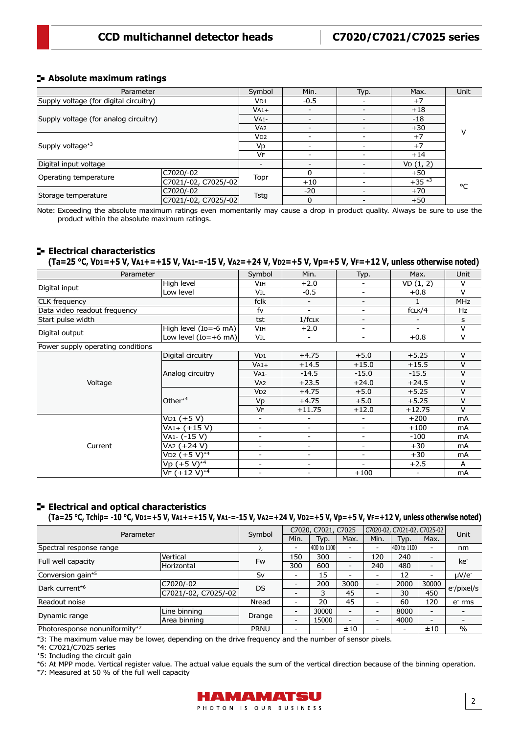#### **Absolute maximum ratings**

| Parameter                              |                      | Symbol                   | Min.     | Typ. | Max.       | Unit |  |
|----------------------------------------|----------------------|--------------------------|----------|------|------------|------|--|
| Supply voltage (for digital circuitry) |                      | V <sub>D1</sub>          | $-0.5$   |      | $+7$       |      |  |
| Supply voltage (for analog circuitry)  |                      | $VA1+$                   |          |      | $+18$      |      |  |
|                                        |                      | $VA1-$                   |          |      | -18        |      |  |
|                                        |                      | V <sub>A2</sub>          |          |      | $+30$      | v    |  |
| Supply voltage*3                       |                      | V <sub>D2</sub>          |          |      | $+7$       |      |  |
|                                        |                      | Vp                       |          |      | $+7$       |      |  |
|                                        |                      | VF                       |          |      | $+14$      |      |  |
| Digital input voltage                  |                      | $\overline{\phantom{0}}$ |          |      | VD(1, 2)   |      |  |
|                                        | C7020/-02            |                          | 0        |      | $+50$      |      |  |
| Operating temperature                  | C7021/-02, C7025/-02 | Topr                     | $+10$    |      | $+35$ $*3$ | °C   |  |
|                                        | C7020/-02            |                          | $-20$    |      | $+70$      |      |  |
| Storage temperature                    | C7021/-02, C7025/-02 | Tstg                     | $\Omega$ |      | $+50$      |      |  |

Note: Exceeding the absolute maximum ratings even momentarily may cause a drop in product quality. Always be sure to use the product within the absolute maximum ratings.

#### **Electrical characteristics**

**(Ta=25 °C, VD1=+5 V, VA1+=+15 V, VA1-=-15 V, VA2=+24 V, VD2=+5 V, Vp=+5 V, VF=+12 V, unless otherwise noted)**

| Parameter                         |                           |                          | Min.                     | Typ.                     | Max.                     | Unit       |
|-----------------------------------|---------------------------|--------------------------|--------------------------|--------------------------|--------------------------|------------|
|                                   | High level                | VIH                      | $+2.0$                   |                          | VD(1, 2)                 | $\vee$     |
| Digital input                     | Low level                 | Vil                      | $-0.5$                   | -                        | $+0.8$                   | $\vee$     |
| <b>CLK</b> frequency              |                           | fclk                     |                          | $\overline{\phantom{0}}$ |                          | <b>MHz</b> |
| Data video readout frequency      |                           | fv                       | ۰                        | $\overline{\phantom{0}}$ | fCLK/4                   | Hz         |
| Start pulse width                 |                           | tst                      | $1/f$ CLK                | $\overline{\phantom{0}}$ |                          | s          |
|                                   | High level $(Io = -6$ mA) | <b>VIH</b>               | $+2.0$                   | -                        | $\overline{\phantom{a}}$ | $\vee$     |
| Digital output                    | Low level $(Io=+6$ mA)    | VIL                      | $\overline{\phantom{a}}$ | $\overline{\phantom{a}}$ | $+0.8$                   | $\vee$     |
| Power supply operating conditions |                           |                          |                          |                          |                          |            |
|                                   | Digital circuitry         | VD1                      | $+4.75$                  | $+5.0$                   | $+5.25$                  | $\vee$     |
|                                   | Analog circuitry          | $VA1+$                   | $+14.5$                  | $+15.0$                  | $+15.5$                  | $\vee$     |
|                                   |                           | $VA1-$                   | $-14.5$                  | $-15.0$                  | $-15.5$                  | $\vee$     |
| Voltage                           |                           | V <sub>A2</sub>          | $+23.5$                  | $+24.0$                  | $+24.5$                  | $\vee$     |
|                                   | Other* <sup>4</sup>       | V <sub>D2</sub>          | $+4.75$                  | $+5.0$                   | $+5.25$                  | v          |
|                                   |                           | Vp                       | $+4.75$                  | $+5.0$                   | $+5.25$                  | $\vee$     |
|                                   |                           | <b>VF</b>                | $+11.75$                 | $+12.0$                  | $+12.75$                 | $\vee$     |
|                                   | $VD1 (+5 V)$              | $\overline{\phantom{0}}$ |                          | -                        | $+200$                   | mA         |
|                                   | VA1+ (+15 V)              | $\overline{\phantom{a}}$ | Ξ.                       | $\overline{\phantom{a}}$ | $+100$                   | mA         |
|                                   | VA1- (-15 V)              | $\overline{\phantom{a}}$ | ۰                        | ٠                        | -100                     | mA         |
| Current                           | VA2 (+24 V)               | $\overline{\phantom{0}}$ | Ξ.                       | Ξ.                       | $+30$                    | mA         |
|                                   | $VD2 (+5 V)*4$            | $\overline{\phantom{a}}$ | -                        | Ξ.                       | $+30$                    | mA         |
|                                   | Vp (+5 V)* <sup>4</sup>   | $\overline{\phantom{a}}$ | -                        | ٠                        | $+2.5$                   | A          |
|                                   | $VF (+12 V)^{*4}$         | $\overline{\phantom{0}}$ | Ξ.                       | $+100$                   | $\overline{\phantom{0}}$ | mA         |

### **Electrical and optical characteristics**

(Ta=25 °C, Tchip= -10 °C, VD1=+5 V, VA1+=+15 V, VA1-=-15 V, VA2=+24 V, VD2=+5 V, Vp=+5 V, VF=+12 V, unless otherwise noted)

| Parameter                     |                      | Symbol      | C7020, C7021, C7025      |                          |                          | C7020-02, C7021-02, C7025-02 |                          |                          | Unit            |
|-------------------------------|----------------------|-------------|--------------------------|--------------------------|--------------------------|------------------------------|--------------------------|--------------------------|-----------------|
|                               |                      |             | Min.                     | Typ.                     | Max.                     | Min.                         | Typ.                     | Max.                     |                 |
| Spectral response range       |                      | λ           | $\overline{\phantom{0}}$ | 400 to 1100              |                          | -                            | 1400 to 11001            | $\overline{\phantom{0}}$ | nm              |
|                               | Vertical             | Fw          | 150                      | 300                      | $\overline{\phantom{0}}$ | 120                          | 240                      | $\overline{\phantom{a}}$ | ke <sup>-</sup> |
| Full well capacity            | Horizontal           |             | 300                      | 600                      | $\overline{\phantom{a}}$ | 240                          | 480                      | $\overline{\phantom{0}}$ |                 |
| Conversion gain*5             |                      | Sv          | $\overline{\phantom{0}}$ | 15                       |                          |                              | 12                       | $\overline{\phantom{0}}$ | $\mu$ V/e-      |
| Dark current* <sup>6</sup>    | C7020/-02            | <b>DS</b>   | $\overline{\phantom{0}}$ | 200                      | 3000                     | -                            | 2000                     | 30000                    |                 |
|                               | C7021/-02, C7025/-02 |             | $\overline{\phantom{0}}$ | 3                        | 45                       |                              | 30                       | 450                      | e /pixel/s      |
| Readout noise                 |                      | Nread       | $\overline{\phantom{0}}$ | 20                       | 45                       | -                            | 60                       | 120                      | $er$ rms        |
|                               | Line binning         |             | $\overline{\phantom{0}}$ | 30000                    | $\overline{\phantom{a}}$ | -                            | 8000                     | $\overline{\phantom{0}}$ |                 |
| Dynamic range                 | Area binning         | Drange      | $\overline{\phantom{0}}$ | 15000                    | $\overline{\phantom{a}}$ | -                            | 4000                     | $\overline{\phantom{0}}$ |                 |
| Photoresponse nonuniformity*7 |                      | <b>PRNU</b> | $\overline{\phantom{0}}$ | $\overline{\phantom{a}}$ | ±10                      | -                            | $\overline{\phantom{0}}$ | ±10                      | $\frac{0}{0}$   |

\*3: The maximum value may be lower, depending on the drive frequency and the number of sensor pixels.

\*4: C7021/C7025 series

\*5: Including the circuit gain

\*6: At MPP mode. Vertical register value. The actual value equals the sum of the vertical direction because of the binning operation.

\*7: Measured at 50 % of the full well capacity

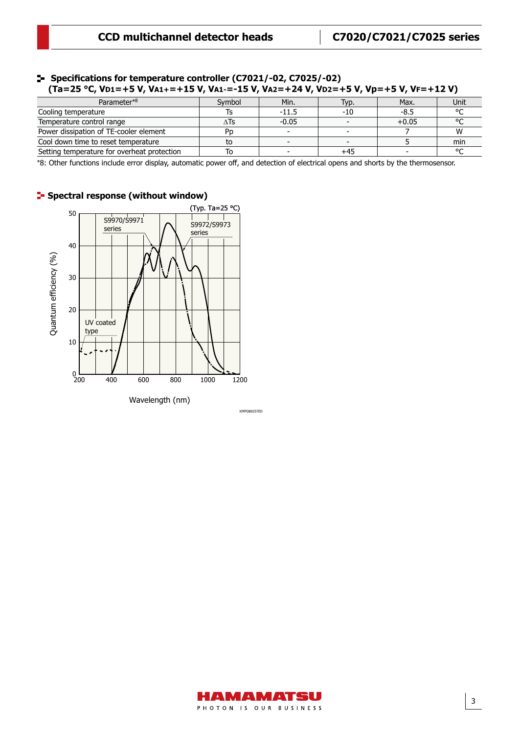3

#### (Ta=25 °C, V**D1=+5 V, VA1+=+15 V, VA1-=-15 V, VA2=+24** V, VD2=+5 V, Vp=+5 V, VF=+12 V)  **Specifications for temperature controller (C7021/-02, C7025/-02)**

| Parameter*8                                 | Symbol | Min.                     | Typ. | Max.    | Unit   |
|---------------------------------------------|--------|--------------------------|------|---------|--------|
| Cooling temperature                         |        | $-11.5$                  | -10  | $-8.5$  |        |
| Temperature control range                   | ∆Ts    | $-0.05$                  |      | $+0.05$ |        |
| Power dissipation of TE-cooler element      | Pn     | $\overline{\phantom{0}}$ |      |         |        |
| Cool down time to reset temperature         | to     |                          |      |         | min    |
| Setting temperature for overheat protection | 10     |                          | +45  |         | $\sim$ |

\*8: Other functions include error display, automatic power off, and detection of electrical opens and shorts by the thermosensor.



### **F** Spectral response (without window)



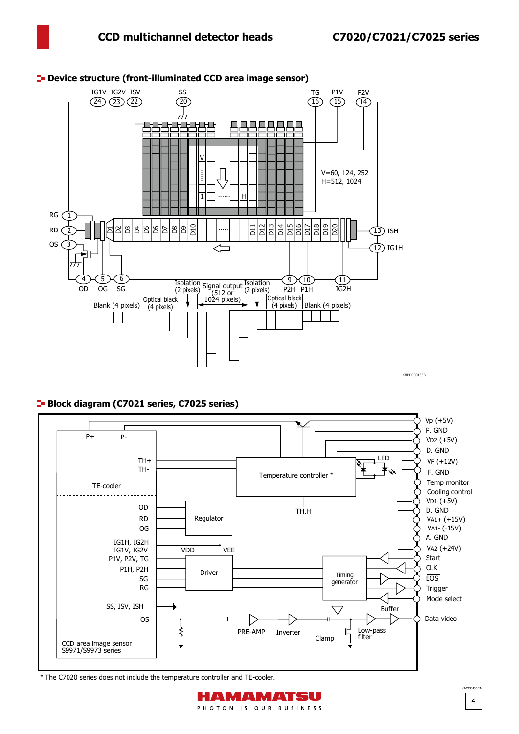

### **D**evice structure (front-illuminated CCD area image sensor)

KMPDC0015EB KMPDC0015EB

#### **Block diagram (C7021 series, C7025 series)**



\* The C7020 series does not include the temperature controller and TE-cooler.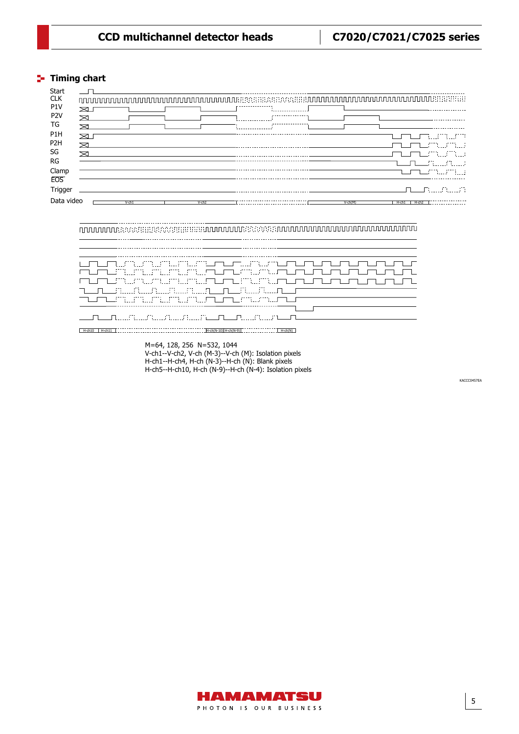# **CCD multichannel detector heads C7020/C7021/C7025 series**

# **Timing chart** Timing Chart (C7020/-02, C7021/-02, C7025/-02)

. . . . . . . . .

.............................

| Start            |                                  |           |                                     |
|------------------|----------------------------------|-----------|-------------------------------------|
| <b>CLK</b>       |                                  |           |                                     |
| P <sub>1</sub> V |                                  |           |                                     |
| P <sub>2</sub> V |                                  |           |                                     |
| TG               | ᆓ                                |           |                                     |
| P <sub>1</sub> H |                                  |           | <u>maa millimetr</u>                |
| P <sub>2</sub> H | ⋝                                |           | المستقل وتنفيض ومعارضا              |
| SG               |                                  |           | TUTUMM.                             |
| <b>RG</b>        |                                  |           |                                     |
| Clamp            |                                  |           | المستنقذ الانتفاء المستحدة المستحدة |
| <b>EOS</b>       |                                  |           |                                     |
| Trigger          |                                  |           |                                     |
| Data video       | $V$ -ch <sub>2</sub><br>$V$ -ch1 | $V-ch(M)$ | $H$ -ch <sub>2</sub><br>$H$ -ch $1$ |

\_\_\_\_\_\_\_\_\_\_\_\_\_\_\_\_\_

| UNUM MARAHATUNG KABUPAT UNUM PERUNJAAN DI LA<br>mumumumumumumumumumumumumumumum                                                                                                                                                                                                       |
|---------------------------------------------------------------------------------------------------------------------------------------------------------------------------------------------------------------------------------------------------------------------------------------|
| mumumumumumumumumumumumumumum m<br>TELERE ALL ALL ALLANDI ELE LA L'ALLIA LE F                                                                                                                                                                                                         |
| TTLL/TTLL/MALAMALAMALAMALATTLL/TTLL/MALAMALATTLL/TT<br>in in in proposition is the new place that in the new state is the proposition of the proposition of the proposition of the proposition of the proposition of the proposition of the proposition of the proposition of the pro |
| $H-ch(N-10)$ $H-ch(N-9)$<br>$H$ -ch10<br>$H$ -ch(N)                                                                                                                                                                                                                                   |

M=64, 128, 256 N=532, 1044 V-ch1--V-ch2, V-ch (M-3)--V-ch (M): Isolation pixels H-ch1--H-ch4, H-ch (N-3)--H-ch (N): Blank pixels H-ch5--H-ch10, H-ch (N-9)--H-ch (N-4): Isolation pixels

KACCC0457FA

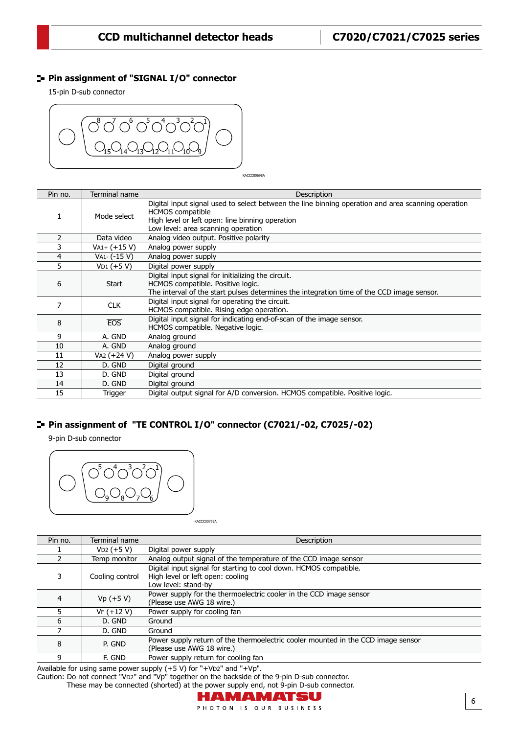6

#### **Pin assignment of "SIGNAL I/O" connector**

15-pin D-sub connector



KACCC0069EA

| Pin no. | Terminal name  | Description                                                                                                                                                                                                            |
|---------|----------------|------------------------------------------------------------------------------------------------------------------------------------------------------------------------------------------------------------------------|
|         | Mode select    | Digital input signal used to select between the line binning operation and area scanning operation<br><b>HCMOS</b> compatible<br>High level or left open: line binning operation<br>Low level: area scanning operation |
|         | Data video     | Analog video output. Positive polarity                                                                                                                                                                                 |
| 3       | $VA1+ (+15 V)$ | Analog power supply                                                                                                                                                                                                    |
| 4       | VA1- (-15 V)   | Analog power supply                                                                                                                                                                                                    |
| 5.      | $VD1 (+5 V)$   | Digital power supply                                                                                                                                                                                                   |
| 6       | <b>Start</b>   | Digital input signal for initializing the circuit.<br>HCMOS compatible. Positive logic.<br>The interval of the start pulses determines the integration time of the CCD image sensor.                                   |
| 7       | <b>CLK</b>     | Digital input signal for operating the circuit.<br>HCMOS compatible. Rising edge operation.                                                                                                                            |
| 8       | EOS            | Digital input signal for indicating end-of-scan of the image sensor.<br>HCMOS compatible. Negative logic.                                                                                                              |
| 9       | A. GND         | Analog ground                                                                                                                                                                                                          |
| 10      | A. GND         | Analog ground                                                                                                                                                                                                          |
| 11      | VA2 (+24 V)    | Analog power supply                                                                                                                                                                                                    |
| 12      | D. GND         | Digital ground                                                                                                                                                                                                         |
| 13      | D. GND         | Digital ground                                                                                                                                                                                                         |
| 14      | D. GND         | Digital ground                                                                                                                                                                                                         |
| 15      | Trigger        | Digital output signal for A/D conversion. HCMOS compatible. Positive logic.                                                                                                                                            |

### **Pin assignment of "TE CONTROL I/O" connector (C7021/-02, C7025/-02)**

9-pin D-sub connector



KACCC0075EA

| Pin no. | Terminal name   | Description                                                                                                                  |
|---------|-----------------|------------------------------------------------------------------------------------------------------------------------------|
|         | $VD2 (+5 V)$    | Digital power supply                                                                                                         |
|         | Temp monitor    | Analog output signal of the temperature of the CCD image sensor                                                              |
| 3       | Cooling control | Digital input signal for starting to cool down. HCMOS compatible.<br>High level or left open: cooling<br>Low level: stand-by |
| 4       | $Vp (+5 V)$     | Power supply for the thermoelectric cooler in the CCD image sensor<br>(Please use AWG 18 wire.)                              |
|         | $VF (+12 V)$    | Power supply for cooling fan                                                                                                 |
| 6       | D. GND          | Ground                                                                                                                       |
|         | D. GND          | Ground                                                                                                                       |
| 8       | P. GND          | Power supply return of the thermoelectric cooler mounted in the CCD image sensor<br>(Please use AWG 18 wire.)                |
| a       | F. GND          | Power supply return for cooling fan                                                                                          |
|         |                 |                                                                                                                              |

Available for using same power supply (+5 V) for "+VD2" and "+Vp". Caution: Do not connect "VD2" and "Vp" together on the backside of the 9-pin D-sub connector. These may be connected (shorted) at the power supply end, not 9-pin D-sub connector.

## HAMAMATSU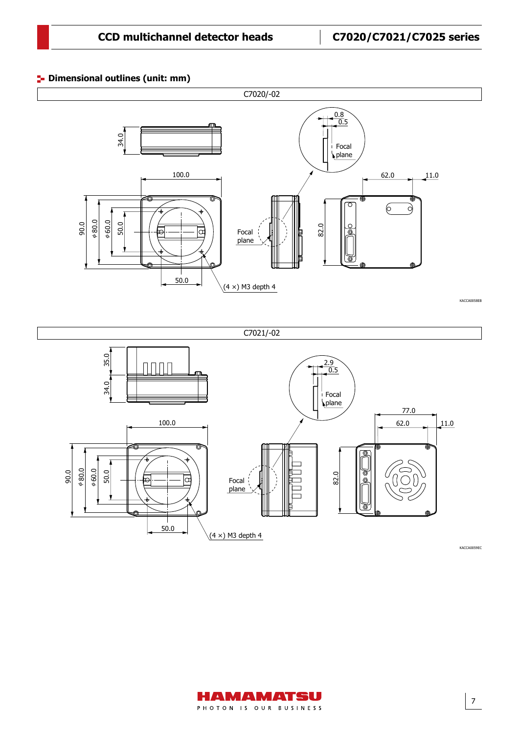50.0

#### **P**- Dimensional outlines (unit: mm)





 $(4 \times)$  M3 depth 4

KACCA0059EC

'ক্ত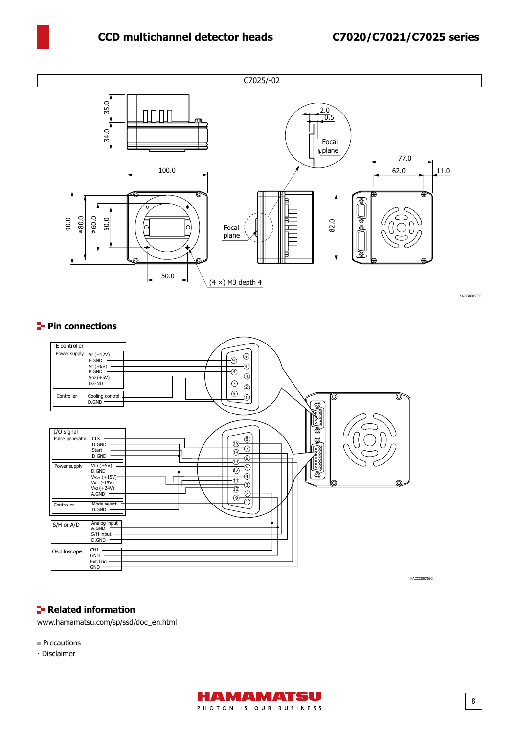### **CCD multichannel detector heads**  $\qquad \qquad$  **C7020/C7021/C7025 series**



KACCA0060EC

#### **Pin connections**



#### **Related information**

[www.hamamatsu.com/sp/ssd/doc\\_en.html](https://www.hamamatsu.com/sp/ssd/doc_en.html)

- **Precautions**
- · Disclaimer